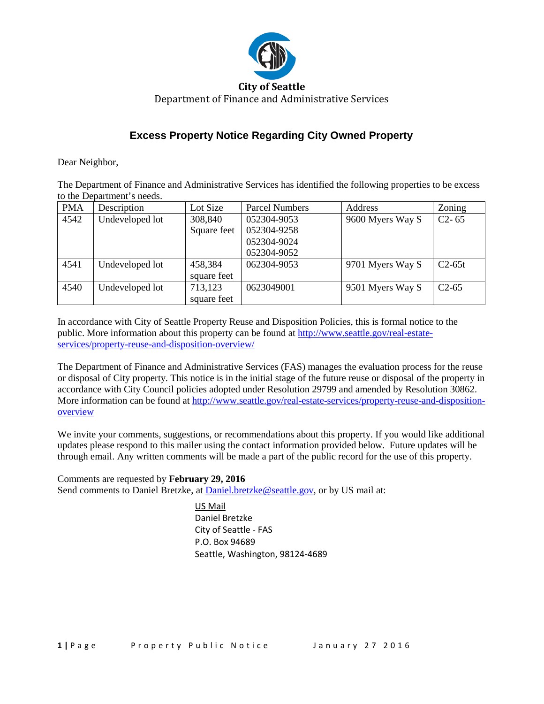

## **Excess Property Notice Regarding City Owned Property**

Dear Neighbor,

The Department of Finance and Administrative Services has identified the following properties to be excess to the Department's needs.

| <b>PMA</b> | Description     | Lot Size               | <b>Parcel Numbers</b> | Address          | Zoning    |
|------------|-----------------|------------------------|-----------------------|------------------|-----------|
| 4542       | Undeveloped lot | 308,840                | 052304-9053           | 9600 Myers Way S | $C2 - 65$ |
|            |                 | Square feet            | 052304-9258           |                  |           |
|            |                 |                        | 052304-9024           |                  |           |
|            |                 |                        | 052304-9052           |                  |           |
| 4541       | Undeveloped lot | 458,384<br>square feet | 062304-9053           | 9701 Myers Way S | $C2-65t$  |
| 4540       | Undeveloped lot | 713,123<br>square feet | 0623049001            | 9501 Myers Way S | $C2-65$   |

In accordance with City of Seattle Property Reuse and Disposition Policies, this is formal notice to the public. More information about this property can be found at [http://www.seattle.gov/real-estate](http://www.seattle.gov/real-estate-services/property-reuse-and-disposition-overview/pma-4542)[services/property-reuse-and-disposition-overview/](http://www.seattle.gov/real-estate-services/property-reuse-and-disposition-overview/pma-4542)

The Department of Finance and Administrative Services (FAS) manages the evaluation process for the reuse or disposal of City property. This notice is in the initial stage of the future reuse or disposal of the property in accordance with City Council policies adopted under Resolution 29799 and amended by Resolution 30862. More information can be found at [http://www.seattle.gov/real-estate-services/property-reuse-and-disposition](http://www.seattle.gov/real-estate-services/property-reuse-and-disposition-overview)[overview](http://www.seattle.gov/real-estate-services/property-reuse-and-disposition-overview)

We invite your comments, suggestions, or recommendations about this property. If you would like additional updates please respond to this mailer using the contact information provided below. Future updates will be through email. Any written comments will be made a part of the public record for the use of this property.

Comments are requested by **February 29, 2016** Send comments to Daniel Bretzke, at [Daniel.bretzke@seattle.gov,](mailto:Daniel.bretzke@seattle.gov) or by US mail at:

> US Mail Daniel Bretzke City of Seattle - FAS P.O. Box 94689 Seattle, Washington, 98124-4689